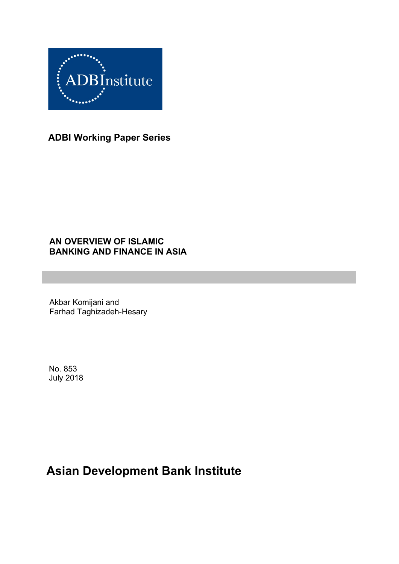

**ADBI Working Paper Series**

## **AN OVERVIEW OF ISLAMIC BANKING AND FINANCE IN ASIA**

Akbar Komijani and Farhad Taghizadeh-Hesary

No. 853 July 2018

# **Asian Development Bank Institute**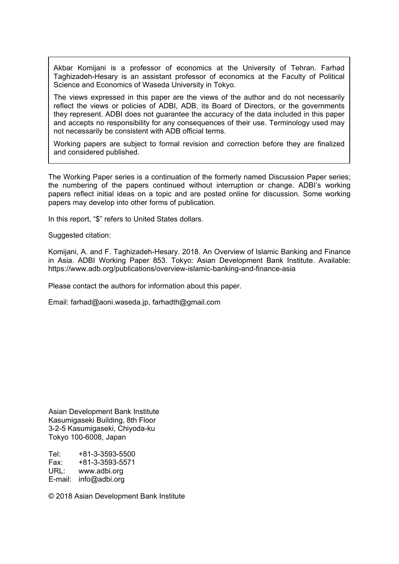Akbar Komijani is a professor of economics at the University of Tehran. Farhad Taghizadeh-Hesary is an assistant professor of economics at the Faculty of Political Science and Economics of Waseda University in Tokyo.

The views expressed in this paper are the views of the author and do not necessarily reflect the views or policies of ADBI, ADB, its Board of Directors, or the governments they represent. ADBI does not guarantee the accuracy of the data included in this paper and accepts no responsibility for any consequences of their use. Terminology used may not necessarily be consistent with ADB official terms.

Working papers are subject to formal revision and correction before they are finalized and considered published.

The Working Paper series is a continuation of the formerly named Discussion Paper series; the numbering of the papers continued without interruption or change. ADBI's working papers reflect initial ideas on a topic and are posted online for discussion. Some working papers may develop into other forms of publication.

In this report, "\$" refers to United States dollars.

Suggested citation:

Komijani, A. and F. Taghizadeh-Hesary. 2018. An Overview of Islamic Banking and Finance in Asia. ADBI Working Paper 853. Tokyo: Asian Development Bank Institute. Available: https://www.adb.org/publications/overview-islamic-banking-and-finance-asia

Please contact the authors for information about this paper.

Email: farhad@aoni.waseda.jp, farhadth@gmail.com

Asian Development Bank Institute Kasumigaseki Building, 8th Floor 3-2-5 Kasumigaseki, Chiyoda-ku Tokyo 100-6008, Japan

Tel: +81-3-3593-5500 Fax: +81-3-3593-5571 URL: www.adbi.org E-mail: info@adbi.org

© 2018 Asian Development Bank Institute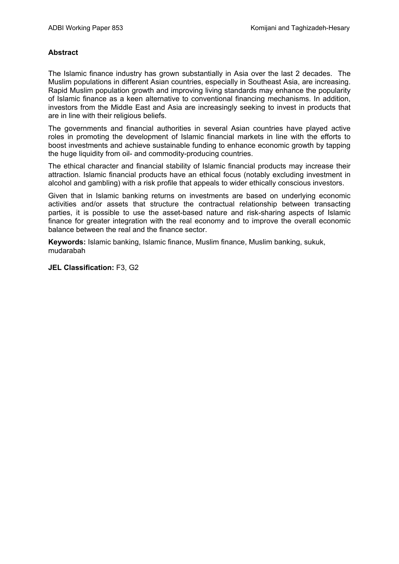#### **Abstract**

The Islamic finance industry has grown substantially in Asia over the last 2 decades. The Muslim populations in different Asian countries, especially in Southeast Asia, are increasing. Rapid Muslim population growth and improving living standards may enhance the popularity of Islamic finance as a keen alternative to conventional financing mechanisms. In addition, investors from the Middle East and Asia are increasingly seeking to invest in products that are in line with their religious beliefs.

The governments and financial authorities in several Asian countries have played active roles in promoting the development of Islamic financial markets in line with the efforts to boost investments and achieve sustainable funding to enhance economic growth by tapping the huge liquidity from oil- and commodity-producing countries.

The ethical character and financial stability of Islamic financial products may increase their attraction. Islamic financial products have an ethical focus (notably excluding investment in alcohol and gambling) with a risk profile that appeals to wider ethically conscious investors.

Given that in Islamic banking returns on investments are based on underlying economic activities and/or assets that structure the contractual relationship between transacting parties, it is possible to use the asset-based nature and risk-sharing aspects of Islamic finance for greater integration with the real economy and to improve the overall economic balance between the real and the finance sector.

**Keywords:** Islamic banking, Islamic finance, Muslim finance, Muslim banking, sukuk, mudarabah

**JEL Classification:** F3, G2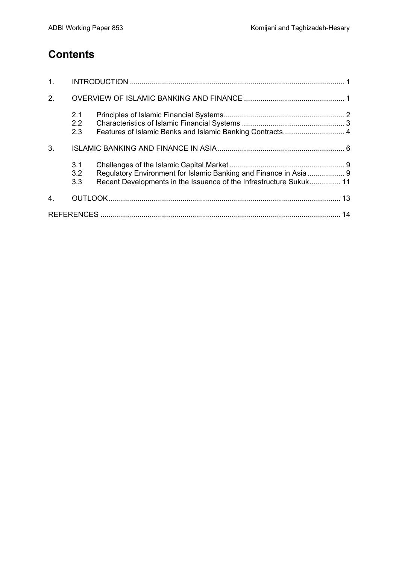# **Contents**

| 1.               |                   |                                                                                                                                         |  |
|------------------|-------------------|-----------------------------------------------------------------------------------------------------------------------------------------|--|
| 2.               |                   |                                                                                                                                         |  |
|                  | 2.1<br>2.2<br>2.3 | Features of Islamic Banks and Islamic Banking Contracts 4                                                                               |  |
| 3.               |                   |                                                                                                                                         |  |
|                  | 3.1<br>3.2<br>3.3 | Regulatory Environment for Islamic Banking and Finance in Asia  9<br>Recent Developments in the Issuance of the Infrastructure Sukuk 11 |  |
| $\overline{4}$ . |                   |                                                                                                                                         |  |
|                  |                   |                                                                                                                                         |  |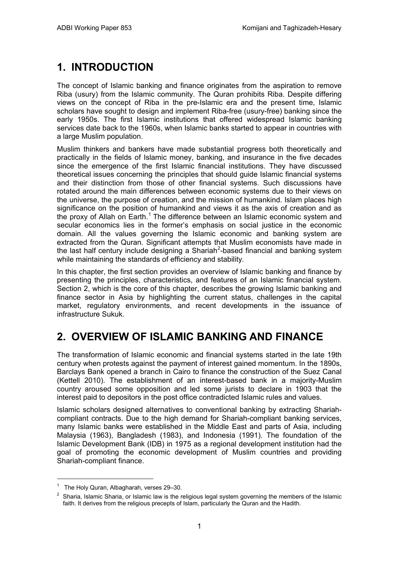# <span id="page-4-0"></span>**1. INTRODUCTION**

The concept of Islamic banking and finance originates from the aspiration to remove Riba (usury) from the Islamic community. The Quran prohibits Riba. Despite differing views on the concept of Riba in the pre-Islamic era and the present time, Islamic scholars have sought to design and implement Riba-free (usury-free) banking since the early 1950s. The first Islamic institutions that offered widespread Islamic banking services date back to the 1960s, when Islamic banks started to appear in countries with a large Muslim population.

Muslim thinkers and bankers have made substantial progress both theoretically and practically in the fields of Islamic money, banking, and insurance in the five decades since the emergence of the first Islamic financial institutions. They have discussed theoretical issues concerning the principles that should guide Islamic financial systems and their distinction from those of other financial systems. Such discussions have rotated around the main differences between economic systems due to their views on the universe, the purpose of creation, and the mission of humankind. Islam places high significance on the position of humankind and views it as the axis of creation and as the proxy of Allah on Earth.<sup>[1](#page-4-2)</sup> The difference between an Islamic economic system and secular economics lies in the former's emphasis on social justice in the economic domain. All the values governing the Islamic economic and banking system are extracted from the Quran. Significant attempts that Muslim economists have made in the last half century include designing a Shariah<sup>[2](#page-4-3)</sup>-based financial and banking system while maintaining the standards of efficiency and stability.

In this chapter, the first section provides an overview of Islamic banking and finance by presenting the principles, characteristics, and features of an Islamic financial system. Section 2, which is the core of this chapter, describes the growing Islamic banking and finance sector in Asia by highlighting the current status, challenges in the capital market, regulatory environments, and recent developments in the issuance of infrastructure Sukuk.

# <span id="page-4-1"></span>**2. OVERVIEW OF ISLAMIC BANKING AND FINANCE**

The transformation of Islamic economic and financial systems started in the late 19th century when protests against the payment of interest gained momentum. In the 1890s, Barclays Bank opened a branch in Cairo to finance the construction of the Suez Canal (Kettell 2010). The establishment of an interest-based bank in a majority-Muslim country aroused some opposition and led some jurists to declare in 1903 that the interest paid to depositors in the post office contradicted Islamic rules and values.

Islamic scholars designed alternatives to conventional banking by extracting Shariahcompliant contracts. Due to the high demand for Shariah-compliant banking services, many Islamic banks were established in the Middle East and parts of Asia, including Malaysia (1963), Bangladesh (1983), and Indonesia (1991). The foundation of the Islamic Development Bank (IDB) in 1975 as a regional development institution had the goal of promoting the economic development of Muslim countries and providing Shariah-compliant finance.

 $1$  The Holy Quran, Albagharah, verses 29-30.

<span id="page-4-3"></span><span id="page-4-2"></span> $2$  Sharia, Islamic Sharia, or Islamic law is the religious legal system governing the members of the Islamic faith. It derives from the religious precepts of Islam, particularly the Quran and the Hadith.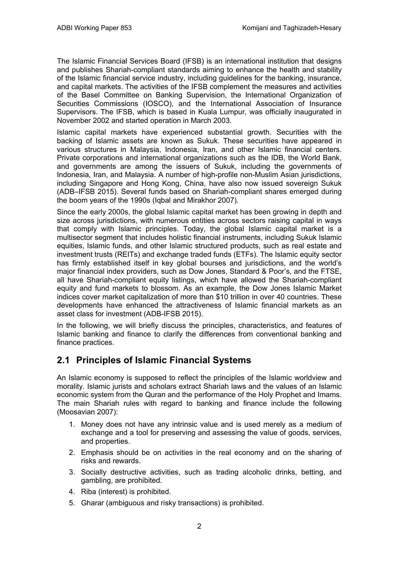The Islamic Financial Services Board (IFSB) is an international institution that designs and publishes Shariah-compliant standards aiming to enhance the health and stability of the Islamic financial service industry, including guidelines for the banking, insurance, and capital markets. The activities of the IFSB complement the measures and activities of the Basel Committee on Banking Supervision, the International Organization of Securities Commissions (IOSCO), and the International Association of Insurance Supervisors. The IFSB, which is based in Kuala Lumpur, was officially inaugurated in November 2002 and started operation in March 2003.

Islamic capital markets have experienced substantial growth. Securities with the backing of Islamic assets are known as Sukuk. These securities have appeared in various structures in Malaysia, Indonesia, Iran, and other Islamic financial centers. Private corporations and international organizations such as the IDB, the World Bank, and governments are among the issuers of Sukuk, including the governments of Indonesia, Iran, and Malaysia. A number of high-profile non-Muslim Asian jurisdictions, including Singapore and Hong Kong, China, have also now issued sovereign Sukuk (ADB–IFSB 2015). Several funds based on Shariah-compliant shares emerged during the boom years of the 1990s (Iqbal and Mirakhor 2007).

Since the early 2000s, the global Islamic capital market has been growing in depth and size across jurisdictions, with numerous entities across sectors raising capital in ways that comply with Islamic principles. Today, the global Islamic capital market is a multisector segment that includes holistic financial instruments, including Sukuk Islamic equities, Islamic funds, and other Islamic structured products, such as real estate and investment trusts (REITs) and exchange traded funds (ETFs). The Islamic equity sector has firmly established itself in key global bourses and jurisdictions, and the world's major financial index providers, such as Dow Jones, Standard & Poor's, and the FTSE, all have Shariah-compliant equity listings, which have allowed the Shariah-compliant equity and fund markets to blossom. As an example, the Dow Jones Islamic Market indices cover market capitalization of more than \$10 trillion in over 40 countries. These developments have enhanced the attractiveness of Islamic financial markets as an asset class for investment (ADB-IFSB 2015).

In the following, we will briefly discuss the principles, characteristics, and features of Islamic banking and finance to clarify the differences from conventional banking and finance practices.

## <span id="page-5-0"></span>**2.1 Principles of Islamic Financial Systems**

An Islamic economy is supposed to reflect the principles of the Islamic worldview and morality. Islamic jurists and scholars extract Shariah laws and the values of an Islamic economic system from the Quran and the performance of the Holy Prophet and Imams. The main Shariah rules with regard to banking and finance include the following (Moosavian 2007):

- 1. Money does not have any intrinsic value and is used merely as a medium of exchange and a tool for preserving and assessing the value of goods, services, and properties.
- 2. Emphasis should be on activities in the real economy and on the sharing of risks and rewards.
- 3. Socially destructive activities, such as trading alcoholic drinks, betting, and gambling, are prohibited.
- 4. Riba (interest) is prohibited.
- 5. Gharar (ambiguous and risky transactions) is prohibited.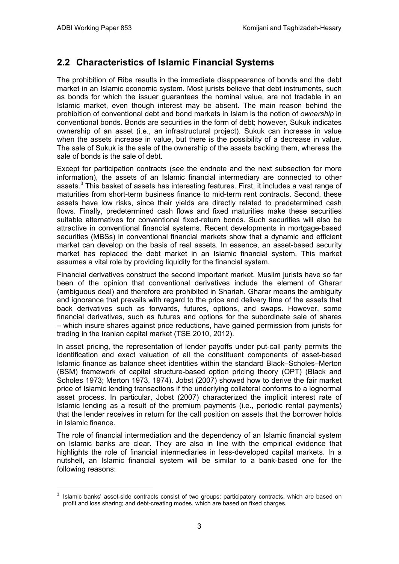## <span id="page-6-0"></span>**2.2 Characteristics of Islamic Financial Systems**

The prohibition of Riba results in the immediate disappearance of bonds and the debt market in an Islamic economic system. Most jurists believe that debt instruments, such as bonds for which the issuer guarantees the nominal value, are not tradable in an Islamic market, even though interest may be absent. The main reason behind the prohibition of conventional debt and bond markets in Islam is the notion of *ownership* in conventional bonds. Bonds are securities in the form of debt; however, Sukuk indicates ownership of an asset (i.e., an infrastructural project). Sukuk can increase in value when the assets increase in value, but there is the possibility of a decrease in value. The sale of Sukuk is the sale of the ownership of the assets backing them, whereas the sale of bonds is the sale of debt.

Except for participation contracts (see the endnote and the next subsection for more information), the assets of an Islamic financial intermediary are connected to other assets.<sup>[3](#page-6-1)</sup> This basket of assets has interesting features. First, it includes a vast range of maturities from short-term business finance to mid-term rent contracts. Second, these assets have low risks, since their yields are directly related to predetermined cash flows. Finally, predetermined cash flows and fixed maturities make these securities suitable alternatives for conventional fixed-return bonds. Such securities will also be attractive in conventional financial systems. Recent developments in mortgage-based securities (MBSs) in conventional financial markets show that a dynamic and efficient market can develop on the basis of real assets. In essence, an asset-based security market has replaced the debt market in an Islamic financial system. This market assumes a vital role by providing liquidity for the financial system.

Financial derivatives construct the second important market. Muslim jurists have so far been of the opinion that conventional derivatives include the element of Gharar (ambiguous deal) and therefore are prohibited in Shariah. Gharar means the ambiguity and ignorance that prevails with regard to the price and delivery time of the assets that back derivatives such as forwards, futures, options, and swaps. However, some financial derivatives, such as futures and options for the subordinate sale of shares – which insure shares against price reductions, have gained permission from jurists for trading in the Iranian capital market (TSE 2010, 2012).

In asset pricing, the representation of lender payoffs under put-call parity permits the identification and exact valuation of all the constituent components of asset-based Islamic finance as balance sheet identities within the standard Black–Scholes–Merton (BSM) framework of capital structure-based option pricing theory (OPT) (Black and Scholes 1973; Merton 1973, 1974). Jobst (2007) showed how to derive the fair market price of Islamic lending transactions if the underlying collateral conforms to a lognormal asset process. In particular, Jobst (2007) characterized the implicit interest rate of Islamic lending as a result of the premium payments (i.e., periodic rental payments) that the lender receives in return for the call position on assets that the borrower holds in Islamic finance.

The role of financial intermediation and the dependency of an Islamic financial system on Islamic banks are clear. They are also in line with the empirical evidence that highlights the role of financial intermediaries in less-developed capital markets. In a nutshell, an Islamic financial system will be similar to a bank-based one for the following reasons:

<span id="page-6-1"></span><sup>&</sup>lt;sup>3</sup> Islamic banks' asset-side contracts consist of two groups: participatory contracts, which are based on profit and loss sharing; and debt-creating modes, which are based on fixed charges.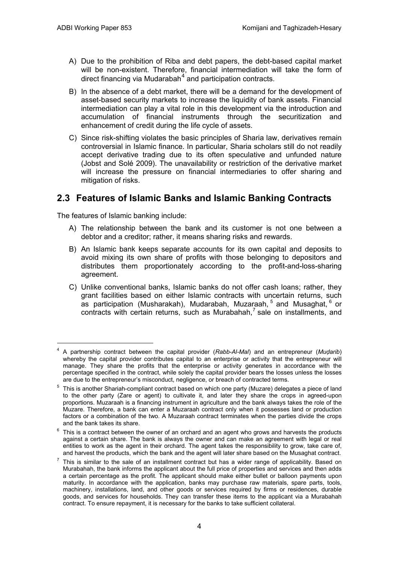- A) Due to the prohibition of Riba and debt papers, the debt-based capital market will be non-existent. Therefore, financial intermediation will take the form of direct financing via Mudarabah $<sup>4</sup>$  $<sup>4</sup>$  $<sup>4</sup>$  and participation contracts.</sup>
- B) In the absence of a debt market, there will be a demand for the development of asset-based security markets to increase the liquidity of bank assets. Financial intermediation can play a vital role in this development via the introduction and accumulation of financial instruments through the securitization and enhancement of credit during the life cycle of assets.
- C) Since risk-shifting violates the basic principles of Sharia law, derivatives remain controversial in Islamic finance. In particular, Sharia scholars still do not readily accept derivative trading due to its often speculative and unfunded nature (Jobst and Solé 2009). The unavailability or restriction of the derivative market will increase the pressure on financial intermediaries to offer sharing and mitigation of risks.

### <span id="page-7-0"></span>**2.3 Features of Islamic Banks and Islamic Banking Contracts**

The features of Islamic banking include:

- A) The relationship between the bank and its customer is not one between a debtor and a creditor; rather, it means sharing risks and rewards.
- B) An Islamic bank keeps separate accounts for its own capital and deposits to avoid mixing its own share of profits with those belonging to depositors and distributes them proportionately according to the profit-and-loss-sharing agreement.
- C) Unlike conventional banks, Islamic banks do not offer cash loans; rather, they grant facilities based on either Islamic contracts with uncertain returns, such as participation (Musharakah), Mudarabah, Muzaraah, <sup>[5](#page-7-2)</sup> and Musaghat, <sup>[6](#page-7-3)</sup> or  $contracts$  with certain returns, such as Murabahah,<sup>[7](#page-7-4)</sup> sale on installments, and

<span id="page-7-1"></span> <sup>4</sup> A partnership contract between the capital provider (*Rabb-Al-Mal*) and an entrepreneur (*Muḍarib*) whereby the capital provider contributes capital to an enterprise or activity that the entrepreneur will manage. They share the profits that the enterprise or activity generates in accordance with the percentage specified in the contract, while solely the capital provider bears the losses unless the losses are due to the entrepreneur's misconduct, negligence, or breach of contracted terms.

<span id="page-7-2"></span> $5$  This is another Shariah-compliant contract based on which one party (Muzare) delegates a piece of land to the other party (Zare or agent) to cultivate it, and later they share the crops in agreed-upon proportions. Muzaraah is a financing instrument in agriculture and the bank always takes the role of the Muzare. Therefore, a bank can enter a Muzaraah contract only when it possesses land or production factors or a combination of the two. A Muzaraah contract terminates when the parties divide the crops and the bank takes its share.

<span id="page-7-3"></span> $6$  This is a contract between the owner of an orchard and an agent who grows and harvests the products against a certain share. The bank is always the owner and can make an agreement with legal or real entities to work as the agent in their orchard. The agent takes the responsibility to grow, take care of, and harvest the products, which the bank and the agent will later share based on the Musaghat contract.

<span id="page-7-4"></span> $7$  This is similar to the sale of an installment contract but has a wider range of applicability. Based on Murabahah, the bank informs the applicant about the full price of properties and services and then adds a certain percentage as the profit. The applicant should make either bullet or balloon payments upon maturity. In accordance with the application, banks may purchase raw materials, spare parts, tools, machinery, installations, land, and other goods or services required by firms or residences, durable goods, and services for households. They can transfer these items to the applicant via a Murabahah contract. To ensure repayment, it is necessary for the banks to take sufficient collateral.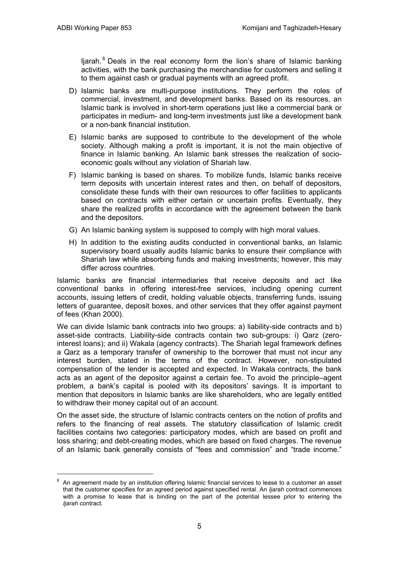Ijarah. $8$  Deals in the real economy form the lion's share of Islamic banking activities, with the bank purchasing the merchandise for customers and selling it to them against cash or gradual payments with an agreed profit.

- D) Islamic banks are multi-purpose institutions. They perform the roles of commercial, investment, and development banks. Based on its resources, an Islamic bank is involved in short-term operations just like a commercial bank or participates in medium- and long-term investments just like a development bank or a non-bank financial institution.
- E) Islamic banks are supposed to contribute to the development of the whole society. Although making a profit is important, it is not the main objective of finance in Islamic banking. An Islamic bank stresses the realization of socioeconomic goals without any violation of Shariah law.
- F) Islamic banking is based on shares. To mobilize funds, Islamic banks receive term deposits with uncertain interest rates and then, on behalf of depositors, consolidate these funds with their own resources to offer facilities to applicants based on contracts with either certain or uncertain profits. Eventually, they share the realized profits in accordance with the agreement between the bank and the depositors.
- G) An Islamic banking system is supposed to comply with high moral values.
- H) In addition to the existing audits conducted in conventional banks, an Islamic supervisory board usually audits Islamic banks to ensure their compliance with Shariah law while absorbing funds and making investments; however, this may differ across countries.

Islamic banks are financial intermediaries that receive deposits and act like conventional banks in offering interest-free services, including opening current accounts, issuing letters of credit, holding valuable objects, transferring funds, issuing letters of guarantee, deposit boxes, and other services that they offer against payment of fees (Khan 2000).

We can divide Islamic bank contracts into two groups: a) liability-side contracts and b) asset-side contracts. Liability-side contracts contain two sub-groups: i) Qarz (zerointerest loans); and ii) Wakala (agency contracts). The Shariah legal framework defines a Qarz as a temporary transfer of ownership to the borrower that must not incur any interest burden, stated in the terms of the contract. However, non-stipulated compensation of the lender is accepted and expected. In Wakala contracts, the bank acts as an agent of the depositor against a certain fee. To avoid the principle–agent problem, a bank's capital is pooled with its depositors' savings. It is important to mention that depositors in Islamic banks are like shareholders, who are legally entitled to withdraw their money capital out of an account.

On the asset side, the structure of Islamic contracts centers on the notion of profits and refers to the financing of real assets. The statutory classification of Islamic credit facilities contains two categories: participatory modes, which are based on profit and loss sharing; and debt-creating modes, which are based on fixed charges. The revenue of an Islamic bank generally consists of "fees and commission" and "trade income."

<span id="page-8-0"></span> <sup>8</sup> An agreement made by an institution offering Islamic financial services to lease to a customer an asset that the customer specifies for an agreed period against specified rental. An *Ijarah* contract commences with a promise to lease that is binding on the part of the potential lessee prior to entering the *Ijarah* contract.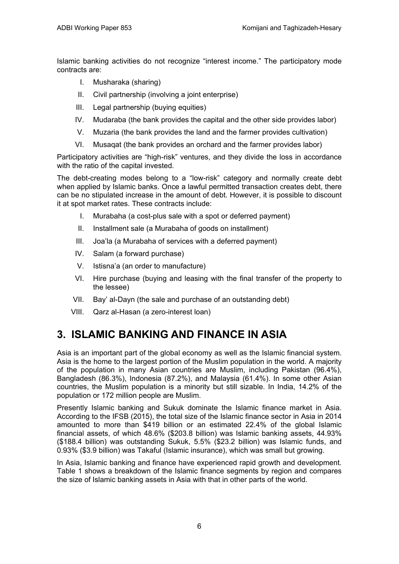Islamic banking activities do not recognize "interest income." The participatory mode contracts are:

- I. Musharaka (sharing)
- II. Civil partnership (involving a joint enterprise)
- III. Legal partnership (buying equities)
- IV. Mudaraba (the bank provides the capital and the other side provides labor)
- V. Muzaria (the bank provides the land and the farmer provides cultivation)
- VI. Musaqat (the bank provides an orchard and the farmer provides labor)

Participatory activities are "high-risk" ventures, and they divide the loss in accordance with the ratio of the capital invested.

The debt-creating modes belong to a "low-risk" category and normally create debt when applied by Islamic banks. Once a lawful permitted transaction creates debt, there can be no stipulated increase in the amount of debt. However, it is possible to discount it at spot market rates. These contracts include:

- I. Murabaha (a cost-plus sale with a spot or deferred payment)
- II. Installment sale (a Murabaha of goods on installment)
- III. Joa'la (a Murabaha of services with a deferred payment)
- IV. Salam (a forward purchase)
- V. Istisna'a (an order to manufacture)
- VI. Hire purchase (buying and leasing with the final transfer of the property to the lessee)
- VII. Bay' al-Dayn (the sale and purchase of an outstanding debt)
- VIII. Qarz al-Hasan (a zero-interest loan)

## <span id="page-9-0"></span>**3. ISLAMIC BANKING AND FINANCE IN ASIA**

Asia is an important part of the global economy as well as the Islamic financial system. Asia is the home to the largest portion of the Muslim population in the world. A majority of the population in many Asian countries are Muslim, including Pakistan (96.4%), Bangladesh (86.3%), Indonesia (87.2%), and Malaysia (61.4%). In some other Asian countries, the Muslim population is a minority but still sizable. In India, 14.2% of the population or 172 million people are Muslim.

Presently Islamic banking and Sukuk dominate the Islamic finance market in Asia. According to the IFSB (2015), the total size of the Islamic finance sector in Asia in 2014 amounted to more than \$419 billion or an estimated 22.4% of the global Islamic financial assets, of which 48.6% (\$203.8 billion) was Islamic banking assets, 44.93% (\$188.4 billion) was outstanding Sukuk, 5.5% (\$23.2 billion) was Islamic funds, and 0.93% (\$3.9 billion) was Takaful (Islamic insurance), which was small but growing.

In Asia, Islamic banking and finance have experienced rapid growth and development. Table 1 shows a breakdown of the Islamic finance segments by region and compares the size of Islamic banking assets in Asia with that in other parts of the world.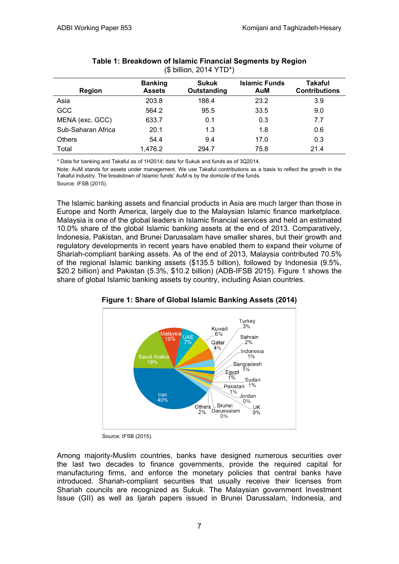| <b>Region</b>      | <b>Banking</b><br><b>Assets</b> | <b>Sukuk</b><br>Outstanding | <b>Islamic Funds</b><br>AuM | <b>Takaful</b><br><b>Contributions</b> |
|--------------------|---------------------------------|-----------------------------|-----------------------------|----------------------------------------|
| Asia               | 203.8                           | 188.4                       | 23.2                        | 3.9                                    |
| <b>GCC</b>         | 564.2                           | 95.5                        | 33.5                        | 9.0                                    |
| MENA (exc. GCC)    | 633.7                           | 0.1                         | 0.3                         | 7.7                                    |
| Sub-Saharan Africa | 20.1                            | 1.3                         | 1.8                         | 0.6                                    |
| <b>Others</b>      | 54.4                            | 9.4                         | 17.0                        | 0.3                                    |
| Total              | 1,476.2                         | 294.7                       | 75.8                        | 21.4                                   |

#### **Table 1: Breakdown of Islamic Financial Segments by Region**  (\$ billion, 2014 YTD\*)

\* Data for banking and Takaful as of 1H2014; data for Sukuk and funds as of 3Q2014.

Note: AuM stands for assets under management. We use Takaful contributions as a basis to reflect the growth in the Takaful industry. The breakdown of Islamic funds' AuM is by the domicile of the funds.

Source: IFSB (2015).

The Islamic banking assets and financial products in Asia are much larger than those in Europe and North America, largely due to the Malaysian Islamic finance marketplace. Malaysia is one of the global leaders in Islamic financial services and held an estimated 10.0% share of the global Islamic banking assets at the end of 2013. Comparatively, Indonesia, Pakistan, and Brunei Darussalam have smaller shares, but their growth and regulatory developments in recent years have enabled them to expand their volume of Shariah-compliant banking assets. As of the end of 2013, Malaysia contributed 70.5% of the regional Islamic banking assets (\$135.5 billion), followed by Indonesia (9.5%, \$20.2 billion) and Pakistan (5.3%, \$10.2 billion) (ADB-IFSB 2015). Figure 1 shows the share of global Islamic banking assets by country, including Asian countries.



**Figure 1: Share of Global Islamic Banking Assets (2014)**

Source: IFSB (2015).

Among majority-Muslim countries, banks have designed numerous securities over the last two decades to finance governments, provide the required capital for manufacturing firms, and enforce the monetary policies that central banks have introduced. Shariah-compliant securities that usually receive their licenses from Shariah councils are recognized as Sukuk. The Malaysian government Investment Issue (GII) as well as Ijarah papers issued in Brunei Darussalam, Indonesia, and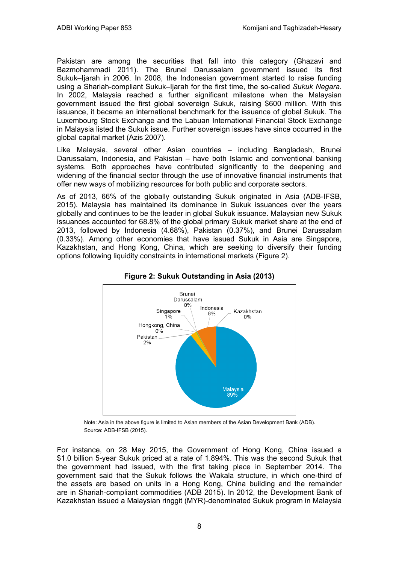Pakistan are among the securities that fall into this category (Ghazavi and Bazmohammadi 2011). The Brunei Darussalam government issued its first Sukuk–Ijarah in 2006. In 2008, the Indonesian government started to raise funding using a Shariah-compliant Sukuk–Ijarah for the first time, the so-called *Sukuk Negara*. In 2002, Malaysia reached a further significant milestone when the Malaysian government issued the first global sovereign Sukuk, raising \$600 million. With this issuance, it became an international benchmark for the issuance of global Sukuk. The Luxembourg Stock Exchange and the Labuan International Financial Stock Exchange in Malaysia listed the Sukuk issue. Further sovereign issues have since occurred in the global capital market (Azis 2007).

Like Malaysia, several other Asian countries – including Bangladesh, Brunei Darussalam, Indonesia, and Pakistan – have both Islamic and conventional banking systems. Both approaches have contributed significantly to the deepening and widening of the financial sector through the use of innovative financial instruments that offer new ways of mobilizing resources for both public and corporate sectors.

As of 2013, 66% of the globally outstanding Sukuk originated in Asia (ADB-IFSB, 2015). Malaysia has maintained its dominance in Sukuk issuances over the years globally and continues to be the leader in global Sukuk issuance. Malaysian new Sukuk issuances accounted for 68.8% of the global primary Sukuk market share at the end of 2013, followed by Indonesia (4.68%), Pakistan (0.37%), and Brunei Darussalam (0.33%). Among other economies that have issued Sukuk in Asia are Singapore, Kazakhstan, and Hong Kong, China, which are seeking to diversify their funding options following liquidity constraints in international markets (Figure 2).



### **Figure 2: Sukuk Outstanding in Asia (2013)**

Note: Asia in the above figure is limited to Asian members of the Asian Development Bank (ADB). Source: ADB-IFSB (2015).

For instance, on 28 May 2015, the Government of Hong Kong, China issued a \$1.0 billion 5-year Sukuk priced at a rate of 1.894%. This was the second Sukuk that the government had issued, with the first taking place in September 2014. The government said that the Sukuk follows the Wakala structure, in which one-third of the assets are based on units in a Hong Kong, China building and the remainder are in Shariah-compliant commodities (ADB 2015). In 2012, the Development Bank of Kazakhstan issued a Malaysian ringgit (MYR)-denominated Sukuk program in Malaysia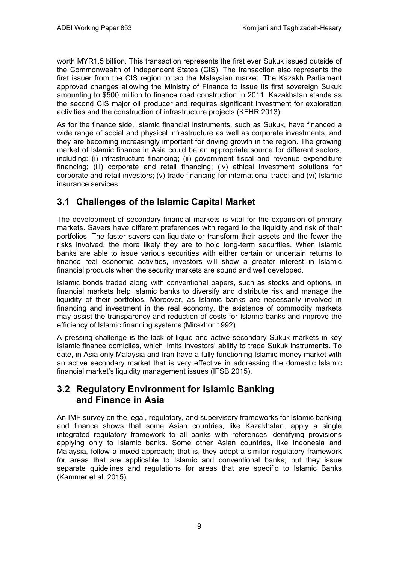worth MYR1.5 billion. This transaction represents the first ever Sukuk issued outside of the Commonwealth of Independent States (CIS). The transaction also represents the first issuer from the CIS region to tap the Malaysian market. The Kazakh Parliament approved changes allowing the Ministry of Finance to issue its first sovereign Sukuk amounting to \$500 million to finance road construction in 2011. Kazakhstan stands as the second CIS major oil producer and requires significant investment for exploration activities and the construction of infrastructure projects (KFHR 2013).

As for the finance side, Islamic financial instruments, such as Sukuk, have financed a wide range of social and physical infrastructure as well as corporate investments, and they are becoming increasingly important for driving growth in the region. The growing market of Islamic finance in Asia could be an appropriate source for different sectors, including: (i) infrastructure financing; (ii) government fiscal and revenue expenditure financing; (iii) corporate and retail financing; (iv) ethical investment solutions for corporate and retail investors; (v) trade financing for international trade; and (vi) Islamic insurance services.

## <span id="page-12-0"></span>**3.1 Challenges of the Islamic Capital Market**

The development of secondary financial markets is vital for the expansion of primary markets. Savers have different preferences with regard to the liquidity and risk of their portfolios. The faster savers can liquidate or transform their assets and the fewer the risks involved, the more likely they are to hold long-term securities. When Islamic banks are able to issue various securities with either certain or uncertain returns to finance real economic activities, investors will show a greater interest in Islamic financial products when the security markets are sound and well developed.

Islamic bonds traded along with conventional papers, such as stocks and options, in financial markets help Islamic banks to diversify and distribute risk and manage the liquidity of their portfolios. Moreover, as Islamic banks are necessarily involved in financing and investment in the real economy, the existence of commodity markets may assist the transparency and reduction of costs for Islamic banks and improve the efficiency of Islamic financing systems (Mirakhor 1992).

A pressing challenge is the lack of liquid and active secondary Sukuk markets in key Islamic finance domiciles, which limits investors' ability to trade Sukuk instruments. To date, in Asia only Malaysia and Iran have a fully functioning Islamic money market with an active secondary market that is very effective in addressing the domestic Islamic financial market's liquidity management issues (IFSB 2015).

## <span id="page-12-1"></span>**3.2 Regulatory Environment for Islamic Banking and Finance in Asia**

An IMF survey on the legal, regulatory, and supervisory frameworks for Islamic banking and finance shows that some Asian countries, like Kazakhstan, apply a single integrated regulatory framework to all banks with references identifying provisions applying only to Islamic banks. Some other Asian countries, like Indonesia and Malaysia, follow a mixed approach; that is, they adopt a similar regulatory framework for areas that are applicable to Islamic and conventional banks, but they issue separate guidelines and regulations for areas that are specific to Islamic Banks (Kammer et al. 2015).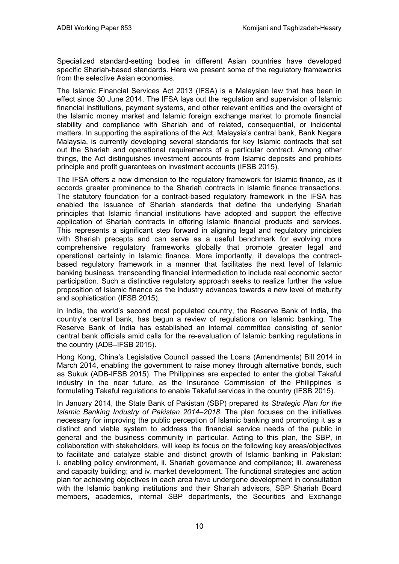Specialized standard-setting bodies in different Asian countries have developed specific Shariah-based standards. Here we present some of the regulatory frameworks from the selective Asian economies.

The Islamic Financial Services Act 2013 (IFSA) is a Malaysian law that has been in effect since 30 June 2014. The IFSA lays out the regulation and supervision of Islamic financial institutions, payment systems, and other relevant entities and the oversight of the Islamic money market and Islamic foreign exchange market to promote financial stability and compliance with Shariah and of related, consequential, or incidental matters. In supporting the aspirations of the Act, Malaysia's central bank, Bank Negara Malaysia, is currently developing several standards for key Islamic contracts that set out the Shariah and operational requirements of a particular contract. Among other things, the Act distinguishes investment accounts from Islamic deposits and prohibits principle and profit guarantees on investment accounts (IFSB 2015).

The IFSA offers a new dimension to the regulatory framework for Islamic finance, as it accords greater prominence to the Shariah contracts in Islamic finance transactions. The statutory foundation for a contract-based regulatory framework in the IFSA has enabled the issuance of Shariah standards that define the underlying Shariah principles that Islamic financial institutions have adopted and support the effective application of Shariah contracts in offering Islamic financial products and services. This represents a significant step forward in aligning legal and regulatory principles with Shariah precepts and can serve as a useful benchmark for evolving more comprehensive regulatory frameworks globally that promote greater legal and operational certainty in Islamic finance. More importantly, it develops the contractbased regulatory framework in a manner that facilitates the next level of Islamic banking business, transcending financial intermediation to include real economic sector participation. Such a distinctive regulatory approach seeks to realize further the value proposition of Islamic finance as the industry advances towards a new level of maturity and sophistication (IFSB 2015).

In India, the world's second most populated country, the Reserve Bank of India, the country's central bank, has begun a review of regulations on Islamic banking. The Reserve Bank of India has established an internal committee consisting of senior central bank officials amid calls for the re-evaluation of Islamic banking regulations in the country (ADB–IFSB 2015).

Hong Kong, China's Legislative Council passed the Loans (Amendments) Bill 2014 in March 2014, enabling the government to raise money through alternative bonds, such as Sukuk (ADB-IFSB 2015). The Philippines are expected to enter the global Takaful industry in the near future, as the Insurance Commission of the Philippines is formulating Takaful regulations to enable Takaful services in the country (IFSB 2015).

In January 2014, the State Bank of Pakistan (SBP) prepared its *Strategic Plan for the Islamic Banking Industry of Pakistan 2014–2018*. The plan focuses on the initiatives necessary for improving the public perception of Islamic banking and promoting it as a distinct and viable system to address the financial service needs of the public in general and the business community in particular. Acting to this plan, the SBP, in collaboration with stakeholders, will keep its focus on the following key areas/objectives to facilitate and catalyze stable and distinct growth of Islamic banking in Pakistan: i. enabling policy environment, ii. Shariah governance and compliance; iii. awareness and capacity building; and iv. market development. The functional strategies and action plan for achieving objectives in each area have undergone development in consultation with the Islamic banking institutions and their Shariah advisors, SBP Shariah Board members, academics, internal SBP departments, the Securities and Exchange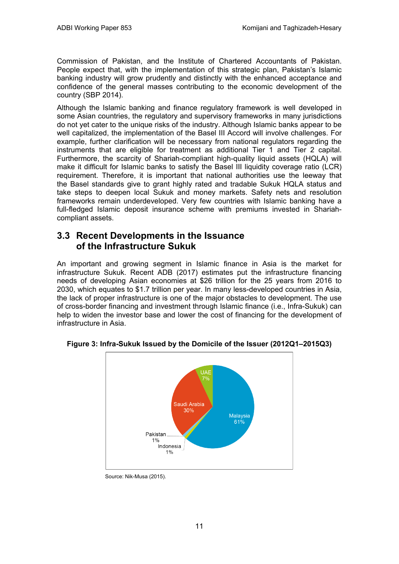Commission of Pakistan, and the Institute of Chartered Accountants of Pakistan. People expect that, with the implementation of this strategic plan, Pakistan's Islamic banking industry will grow prudently and distinctly with the enhanced acceptance and confidence of the general masses contributing to the economic development of the country (SBP 2014).

Although the Islamic banking and finance regulatory framework is well developed in some Asian countries, the regulatory and supervisory frameworks in many jurisdictions do not yet cater to the unique risks of the industry. Although Islamic banks appear to be well capitalized, the implementation of the Basel III Accord will involve challenges. For example, further clarification will be necessary from national regulators regarding the instruments that are eligible for treatment as additional Tier 1 and Tier 2 capital. Furthermore, the scarcity of Shariah-compliant high-quality liquid assets (HQLA) will make it difficult for Islamic banks to satisfy the Basel III liquidity coverage ratio (LCR) requirement. Therefore, it is important that national authorities use the leeway that the Basel standards give to grant highly rated and tradable Sukuk HQLA status and take steps to deepen local Sukuk and money markets. Safety nets and resolution frameworks remain underdeveloped. Very few countries with Islamic banking have a full-fledged Islamic deposit insurance scheme with premiums invested in Shariahcompliant assets.

### <span id="page-14-0"></span>**3.3 Recent Developments in the Issuance of the Infrastructure Sukuk**

An important and growing segment in Islamic finance in Asia is the market for infrastructure Sukuk. Recent ADB (2017) estimates put the infrastructure financing needs of developing Asian economies at \$26 trillion for the 25 years from 2016 to 2030, which equates to \$1.7 trillion per year. In many less-developed countries in Asia, the lack of proper infrastructure is one of the major obstacles to development. The use of cross-border financing and investment through Islamic finance (i.e., Infra-Sukuk) can help to widen the investor base and lower the cost of financing for the development of infrastructure in Asia.



**Figure 3: Infra-Sukuk Issued by the Domicile of the Issuer (2012Q1–2015Q3)**

Source: Nik-Musa (2015).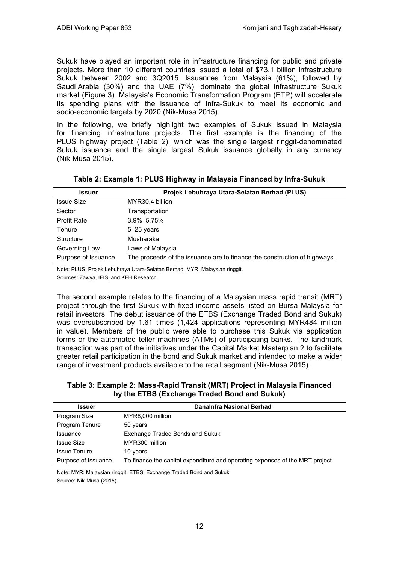Sukuk have played an important role in infrastructure financing for public and private projects. More than 10 different countries issued a total of \$73.1 billion infrastructure Sukuk between 2002 and 3Q2015. Issuances from Malaysia (61%), followed by Saudi Arabia (30%) and the UAE (7%), dominate the global infrastructure Sukuk market (Figure 3). Malaysia's Economic Transformation Program (ETP) will accelerate its spending plans with the issuance of Infra-Sukuk to meet its economic and socio-economic targets by 2020 (Nik-Musa 2015).

In the following, we briefly highlight two examples of Sukuk issued in Malaysia for financing infrastructure projects. The first example is the financing of the PLUS highway project (Table 2), which was the single largest ringgit-denominated Sukuk issuance and the single largest Sukuk issuance globally in any currency (Nik-Musa 2015).

| <b>Issuer</b>       | Projek Lebuhraya Utara-Selatan Berhad (PLUS)                              |  |  |  |
|---------------------|---------------------------------------------------------------------------|--|--|--|
| <b>Issue Size</b>   | MYR30.4 billion                                                           |  |  |  |
| Sector              | Transportation                                                            |  |  |  |
| <b>Profit Rate</b>  | $3.9\% - 5.75\%$                                                          |  |  |  |
| Tenure              | $5-25$ years                                                              |  |  |  |
| <b>Structure</b>    | Musharaka                                                                 |  |  |  |
| Governing Law       | Laws of Malaysia                                                          |  |  |  |
| Purpose of Issuance | The proceeds of the issuance are to finance the construction of highways. |  |  |  |

|  |  | Table 2: Example 1: PLUS Highway in Malaysia Financed by Infra-Sukuk |  |
|--|--|----------------------------------------------------------------------|--|
|--|--|----------------------------------------------------------------------|--|

Note: PLUS: Projek Lebuhraya Utara-Selatan Berhad; MYR: Malaysian ringgit. Sources: Zawya, IFIS, and KFH Research.

The second example relates to the financing of a Malaysian mass rapid transit (MRT) project through the first Sukuk with fixed-income assets listed on Bursa Malaysia for retail investors. The debut issuance of the ETBS (Exchange Traded Bond and Sukuk) was oversubscribed by 1.61 times (1,424 applications representing MYR484 million in value). Members of the public were able to purchase this Sukuk via application forms or the automated teller machines (ATMs) of participating banks. The landmark transaction was part of the initiatives under the Capital Market Masterplan 2 to facilitate greater retail participation in the bond and Sukuk market and intended to make a wider range of investment products available to the retail segment (Nik-Musa 2015).

### **Table 3: Example 2: Mass-Rapid Transit (MRT) Project in Malaysia Financed by the ETBS (Exchange Traded Bond and Sukuk)**

| <b>Issuer</b>         | Danalnfra Nasional Berhad                                                    |
|-----------------------|------------------------------------------------------------------------------|
| Program Size          | MYR8,000 million                                                             |
| <b>Program Tenure</b> | 50 years                                                                     |
| <b>Issuance</b>       | Exchange Traded Bonds and Sukuk                                              |
| <b>Issue Size</b>     | MYR300 million                                                               |
| <b>Issue Tenure</b>   | 10 years                                                                     |
| Purpose of Issuance   | To finance the capital expenditure and operating expenses of the MRT project |

Note: MYR: Malaysian ringgit; ETBS: Exchange Traded Bond and Sukuk. Source: Nik-Musa (2015).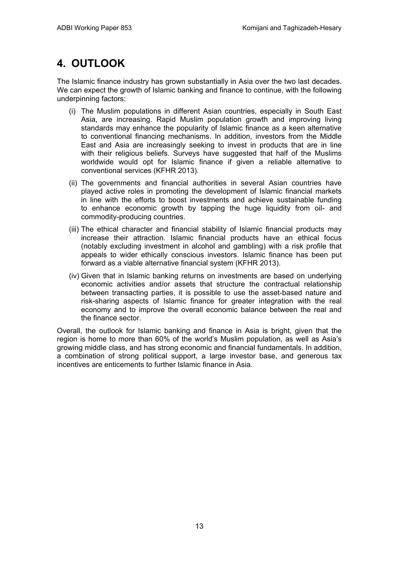## <span id="page-16-0"></span>**4. OUTLOOK**

The Islamic finance industry has grown substantially in Asia over the two last decades. We can expect the growth of Islamic banking and finance to continue, with the following underpinning factors:

- (i) The Muslim populations in different Asian countries, especially in South East Asia, are increasing. Rapid Muslim population growth and improving living standards may enhance the popularity of Islamic finance as a keen alternative to conventional financing mechanisms. In addition, investors from the Middle East and Asia are increasingly seeking to invest in products that are in line with their religious beliefs. Surveys have suggested that half of the Muslims worldwide would opt for Islamic finance if given a reliable alternative to conventional services (KFHR 2013).
- (ii) The governments and financial authorities in several Asian countries have played active roles in promoting the development of Islamic financial markets in line with the efforts to boost investments and achieve sustainable funding to enhance economic growth by tapping the huge liquidity from oil- and commodity-producing countries.
- (iii) The ethical character and financial stability of Islamic financial products may increase their attraction. Islamic financial products have an ethical focus (notably excluding investment in alcohol and gambling) with a risk profile that appeals to wider ethically conscious investors. Islamic finance has been put forward as a viable alternative financial system (KFHR 2013).
- (iv) Given that in Islamic banking returns on investments are based on underlying economic activities and/or assets that structure the contractual relationship between transacting parties, it is possible to use the asset-based nature and risk-sharing aspects of Islamic finance for greater integration with the real economy and to improve the overall economic balance between the real and the finance sector.

Overall, the outlook for Islamic banking and finance in Asia is bright, given that the region is home to more than 60% of the world's Muslim population, as well as Asia's growing middle class, and has strong economic and financial fundamentals. In addition, a combination of strong political support, a large investor base, and generous tax incentives are enticements to further Islamic finance in Asia.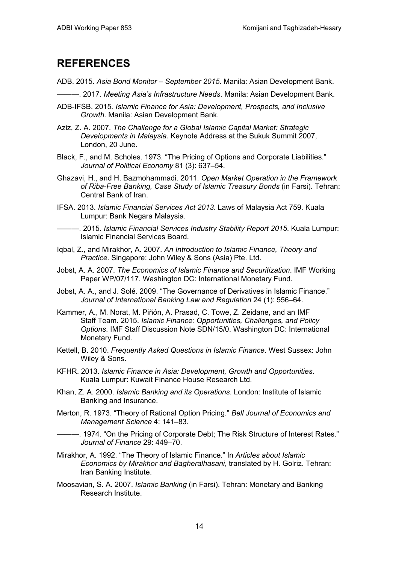## <span id="page-17-0"></span>**REFERENCES**

- ADB. 2015. *Asia Bond Monitor – September 2015*. Manila: Asian Development Bank.
- ———. 2017. *Meeting Asia's Infrastructure Needs*. Manila: Asian Development Bank.
- ADB-IFSB. 2015*. Islamic Finance for Asia: Development, Prospects, and Inclusive Growth*. Manila: Asian Development Bank.
- Aziz, Z. A. 2007. *The Challenge for a Global Islamic Capital Market: Strategic Developments in Malaysia*. Keynote Address at the Sukuk Summit 2007, London, 20 June.
- Black, F., and M. Scholes. 1973. "The Pricing of Options and Corporate Liabilities." *Journal of Political Economy* 81 (3): 637–54.
- Ghazavi, H., and H. Bazmohammadi. 2011. *Open Market Operation in the Framework of Riba-Free Banking, Case Study of Islamic Treasury Bonds* (in Farsi). Tehran: Central Bank of Iran.
- IFSA. 2013. *Islamic Financial Services Act 2013*. Laws of Malaysia Act 759. Kuala Lumpur: Bank Negara Malaysia.
- ———. 2015. *Islamic Financial Services Industry Stability Report 2015*. Kuala Lumpur: Islamic Financial Services Board.
- Iqbal, Z., and Mirakhor, A. 2007. *An Introduction to Islamic Finance, Theory and Practice*. Singapore: John Wiley & Sons (Asia) Pte. Ltd.
- Jobst, A. A. 2007. *The Economics of Islamic Finance and Securitization*. IMF Working Paper WP/07/117. Washington DC: International Monetary Fund.
- Jobst, A. A., and J. Solé. 2009. "The Governance of Derivatives in Islamic Finance." *Journal of International Banking Law and Regulation* 24 (1): 556–64.
- Kammer, A., M. Norat, M. Piñón, A. Prasad, C. Towe, Z. Zeidane, and an IMF Staff Team. 2015. *Islamic Finance: Opportunities, Challenges, and Policy Options*. IMF Staff Discussion Note SDN/15/0. Washington DC: International Monetary Fund.
- Kettell, B. 2010. *Frequently Asked Questions in Islamic Finance*. West Sussex: John Wiley & Sons.
- KFHR. 2013. *Islamic Finance in Asia: Development, Growth and Opportunities*. Kuala Lumpur: Kuwait Finance House Research Ltd.
- Khan, Z. A. 2000. *Islamic Banking and its Operations*. London: Institute of Islamic Banking and Insurance.
- Merton, R. 1973. "Theory of Rational Option Pricing." *Bell Journal of Economics and Management Science* 4: 141–83.
- ———. 1974. "On the Pricing of Corporate Debt; The Risk Structure of Interest Rates." *Journal of Finance* 29: 449–70.
- Mirakhor, A. 1992. "The Theory of Islamic Finance." In *Articles about Islamic Economics by Mirakhor and Bagheralhasani*, translated by H. Golriz. Tehran: Iran Banking Institute.
- Moosavian, S. A. 2007. *Islamic Banking* (in Farsi). Tehran: Monetary and Banking Research Institute.